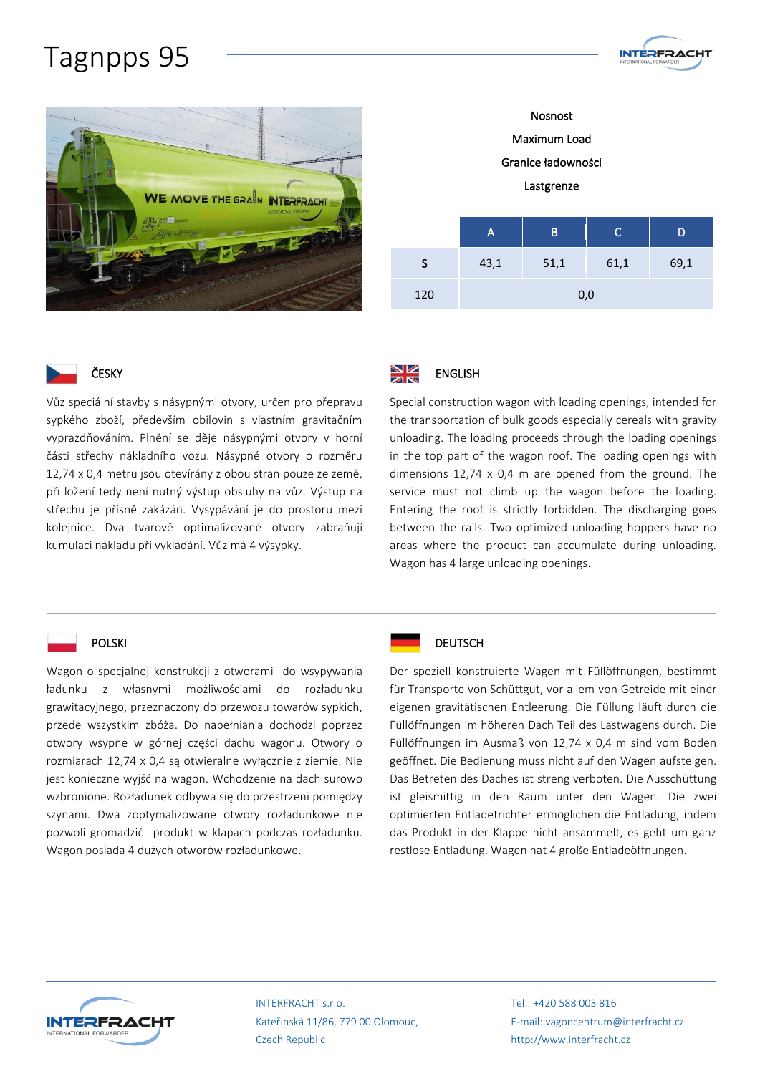## Tagnpps 95



Maximum Load Granice ładowności Lastgrenze A B C D S 43,1 51,1 61,1 69,1

**INTERFRACHT** 

120 0,0



#### ČESKY

Vůz speciální stavby s násypnými otvory, určen pro přepravu sypkého zboží, především obilovin s vlastním gravitačním vyprazdňováním. Plnění se děje násypnými otvory v horní části střechy nákladního vozu. Násypné otvory o rozměru 12,74 x 0,4 metru jsou otevírány z obou stran pouze ze země, při ložení tedy není nutný výstup obsluhy na vůz. Výstup na střechu je přísně zakázán. Vysypávání je do prostoru mezi kolejnice. Dva tvarově optimalizované otvory zabraňují kumulaci nákladu při vykládání. Vůz má 4 výsypky.



Special construction wagon with loading openings, intended for the transportation of bulk goods especially cereals with gravity unloading. The loading proceeds through the loading openings in the top part of the wagon roof. The loading openings with dimensions 12,74 x 0,4 m are opened from the ground. The service must not climb up the wagon before the loading. Entering the roof is strictly forbidden. The discharging goes between the rails. Two optimized unloading hoppers have no areas where the product can accumulate during unloading. Wagon has 4 large unloading openings.

#### POLSKI

Wagon o specjalnej konstrukcji z otworami do wsypywania ładunku z własnymi możliwościami do rozładunku grawitacyjnego, przeznaczony do przewozu towarów sypkich, przede wszystkim zbóża. Do napełniania dochodzi poprzez otwory wsypne w górnej części dachu wagonu. Otwory o rozmiarach 12,74 x 0,4 są otwieralne wyłącznie z ziemie. Nie jest konieczne wyjść na wagon. Wchodzenie na dach surowo wzbronione. Rozładunek odbywa się do przestrzeni pomiędzy szynami. Dwa zoptymalizowane otwory rozładunkowe nie pozwoli gromadzić produkt w klapach podczas rozładunku. Wagon posiada 4 dużych otworów rozładunkowe.



### Der speziell konstruierte Wagen mit Füllöffnungen, bestimmt für Transporte von Schüttgut, vor allem von Getreide mit einer eigenen gravitätischen Entleerung. Die Füllung läuft durch die Füllöffnungen im höheren Dach Teil des Lastwagens durch. Die Füllöffnungen im Ausmaß von 12,74 x 0,4 m sind vom Boden geöffnet. Die Bedienung muss nicht auf den Wagen aufsteigen. Das Betreten des Daches ist streng verboten. Die Ausschüttung ist gleismittig in den Raum unter den Wagen. Die zwei optimierten Entladetrichter ermöglichen die Entladung, indem das Produkt in der Klappe nicht ansammelt, es geht um ganz restlose Entladung. Wagen hat 4 große Entladeöffnungen.



INTERFRACHT s.r.o. Kateřinská 11/86, 779 00 Olomouc, Czech Republic

Tel.: +420 588 003 816 E-mail: vagoncentrum@interfracht.cz http://www.interfracht.cz